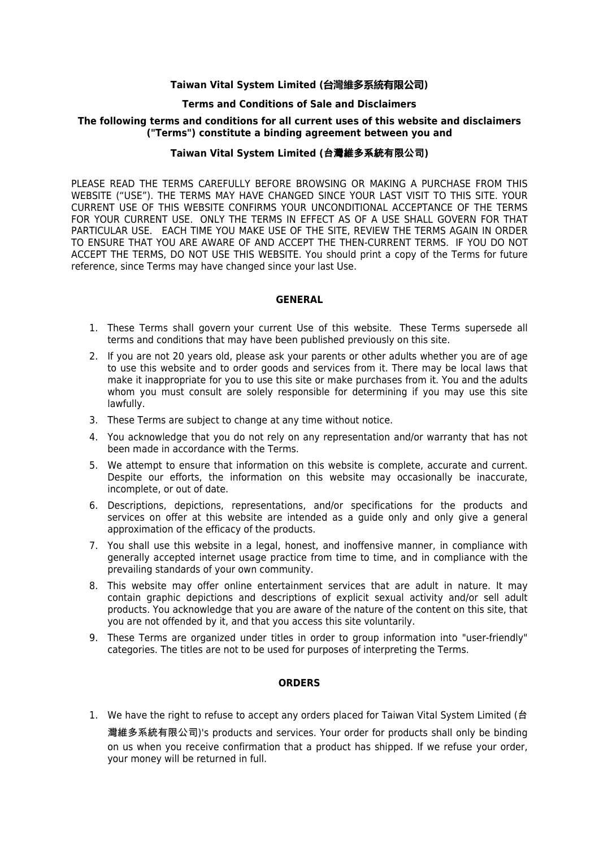#### **Taiwan Vital System Limited (台灣維多系統有限公司)**

#### **Terms and Conditions of Sale and Disclaimers**

# **The following terms and conditions for all current uses of this website and disclaimers ("Terms") constitute a binding agreement between you and**

### **Taiwan Vital System Limited (**台灣維多系統有限公司**)**

PLEASE READ THE TERMS CAREFULLY BEFORE BROWSING OR MAKING A PURCHASE FROM THIS WEBSITE ("USE"). THE TERMS MAY HAVE CHANGED SINCE YOUR LAST VISIT TO THIS SITE. YOUR CURRENT USE OF THIS WEBSITE CONFIRMS YOUR UNCONDITIONAL ACCEPTANCE OF THE TERMS FOR YOUR CURRENT USE. ONLY THE TERMS IN EFFECT AS OF A USE SHALL GOVERN FOR THAT PARTICULAR USE. EACH TIME YOU MAKE USE OF THE SITE, REVIEW THE TERMS AGAIN IN ORDER TO ENSURE THAT YOU ARE AWARE OF AND ACCEPT THE THEN-CURRENT TERMS. IF YOU DO NOT ACCEPT THE TERMS, DO NOT USE THIS WEBSITE. You should print a copy of the Terms for future reference, since Terms may have changed since your last Use.

#### **GENERAL**

- 1. These Terms shall govern your current Use of this website. These Terms supersede all terms and conditions that may have been published previously on this site.
- 2. If you are not 20 years old, please ask your parents or other adults whether you are of age to use this website and to order goods and services from it. There may be local laws that make it inappropriate for you to use this site or make purchases from it. You and the adults whom you must consult are solely responsible for determining if you may use this site lawfully.
- 3. These Terms are subject to change at any time without notice.
- 4. You acknowledge that you do not rely on any representation and/or warranty that has not been made in accordance with the Terms.
- 5. We attempt to ensure that information on this website is complete, accurate and current. Despite our efforts, the information on this website may occasionally be inaccurate, incomplete, or out of date.
- 6. Descriptions, depictions, representations, and/or specifications for the products and services on offer at this website are intended as a guide only and only give a general approximation of the efficacy of the products.
- 7. You shall use this website in a legal, honest, and inoffensive manner, in compliance with generally accepted internet usage practice from time to time, and in compliance with the prevailing standards of your own community.
- 8. This website may offer online entertainment services that are adult in nature. It may contain graphic depictions and descriptions of explicit sexual activity and/or sell adult products. You acknowledge that you are aware of the nature of the content on this site, that you are not offended by it, and that you access this site voluntarily.
- 9. These Terms are organized under titles in order to group information into "user-friendly" categories. The titles are not to be used for purposes of interpreting the Terms.

## **ORDERS**

1. We have the right to refuse to accept any orders placed for Taiwan Vital System Limited (台 灣維多系統有限公司)'s products and services. Your order for products shall only be binding on us when you receive confirmation that a product has shipped. If we refuse your order, your money will be returned in full.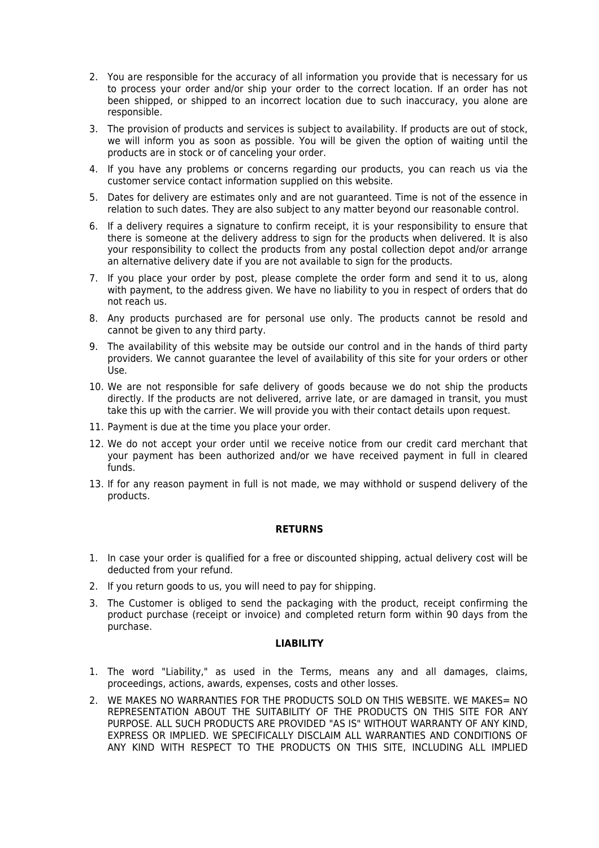- 2. You are responsible for the accuracy of all information you provide that is necessary for us to process your order and/or ship your order to the correct location. If an order has not been shipped, or shipped to an incorrect location due to such inaccuracy, you alone are responsible.
- 3. The provision of products and services is subject to availability. If products are out of stock, we will inform you as soon as possible. You will be given the option of waiting until the products are in stock or of canceling your order.
- 4. If you have any problems or concerns regarding our products, you can reach us via the customer service contact information supplied on this website.
- 5. Dates for delivery are estimates only and are not guaranteed. Time is not of the essence in relation to such dates. They are also subject to any matter beyond our reasonable control.
- 6. If a delivery requires a signature to confirm receipt, it is your responsibility to ensure that there is someone at the delivery address to sign for the products when delivered. It is also your responsibility to collect the products from any postal collection depot and/or arrange an alternative delivery date if you are not available to sign for the products.
- 7. If you place your order by post, please complete the order form and send it to us, along with payment, to the address given. We have no liability to you in respect of orders that do not reach us.
- 8. Any products purchased are for personal use only. The products cannot be resold and cannot be given to any third party.
- 9. The availability of this website may be outside our control and in the hands of third party providers. We cannot guarantee the level of availability of this site for your orders or other Use.
- 10. We are not responsible for safe delivery of goods because we do not ship the products directly. If the products are not delivered, arrive late, or are damaged in transit, you must take this up with the carrier. We will provide you with their contact details upon request.
- 11. Payment is due at the time you place your order.
- 12. We do not accept your order until we receive notice from our credit card merchant that your payment has been authorized and/or we have received payment in full in cleared funds.
- 13. If for any reason payment in full is not made, we may withhold or suspend delivery of the products.

## **RETURNS**

- 1. In case your order is qualified for a free or discounted shipping, actual delivery cost will be deducted from your refund.
- 2. If you return goods to us, you will need to pay for shipping.
- 3. The Customer is obliged to send the packaging with the product, receipt confirming the product purchase (receipt or invoice) and completed return form within 90 days from the purchase.

#### **LIABILITY**

- 1. The word "Liability," as used in the Terms, means any and all damages, claims, proceedings, actions, awards, expenses, costs and other losses.
- 2. WE MAKES NO WARRANTIES FOR THE PRODUCTS SOLD ON THIS WEBSITE. WE MAKES= NO REPRESENTATION ABOUT THE SUITABILITY OF THE PRODUCTS ON THIS SITE FOR ANY PURPOSE. ALL SUCH PRODUCTS ARE PROVIDED "AS IS" WITHOUT WARRANTY OF ANY KIND, EXPRESS OR IMPLIED. WE SPECIFICALLY DISCLAIM ALL WARRANTIES AND CONDITIONS OF ANY KIND WITH RESPECT TO THE PRODUCTS ON THIS SITE, INCLUDING ALL IMPLIED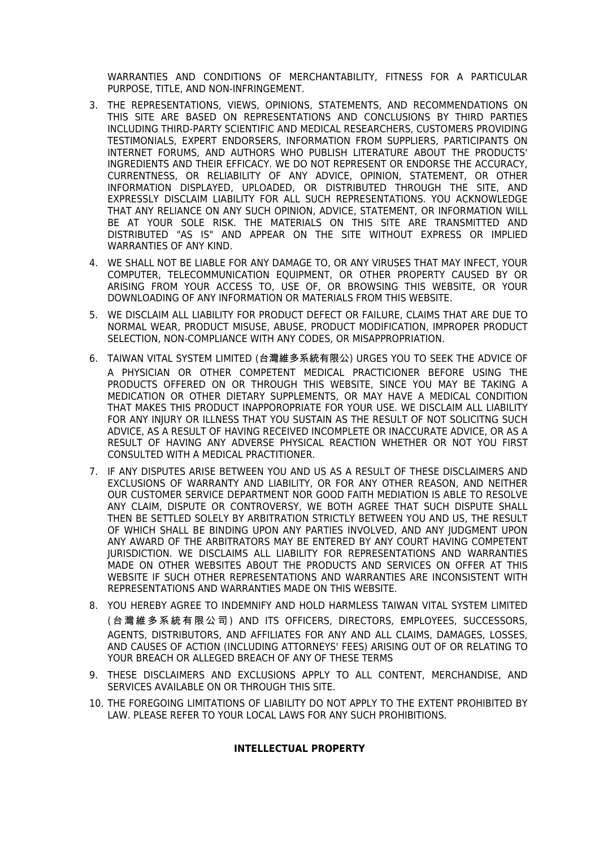WARRANTIES AND CONDITIONS OF MERCHANTABILITY, FITNESS FOR A PARTICULAR PURPOSE, TITLE, AND NON-INFRINGEMENT.

- 3. THE REPRESENTATIONS, VIEWS, OPINIONS, STATEMENTS, AND RECOMMENDATIONS ON THIS SITE ARE BASED ON REPRESENTATIONS AND CONCLUSIONS BY THIRD PARTIES INCLUDING THIRD-PARTY SCIENTIFIC AND MEDICAL RESEARCHERS, CUSTOMERS PROVIDING TESTIMONIALS, EXPERT ENDORSERS, INFORMATION FROM SUPPLIERS, PARTICIPANTS ON INTERNET FORUMS, AND AUTHORS WHO PUBLISH LITERATURE ABOUT THE PRODUCTS' INGREDIENTS AND THEIR EFFICACY. WE DO NOT REPRESENT OR ENDORSE THE ACCURACY, CURRENTNESS, OR RELIABILITY OF ANY ADVICE, OPINION, STATEMENT, OR OTHER INFORMATION DISPLAYED, UPLOADED, OR DISTRIBUTED THROUGH THE SITE, AND EXPRESSLY DISCLAIM LIABILITY FOR ALL SUCH REPRESENTATIONS. YOU ACKNOWLEDGE THAT ANY RELIANCE ON ANY SUCH OPINION, ADVICE, STATEMENT, OR INFORMATION WILL BE AT YOUR SOLE RISK. THE MATERIALS ON THIS SITE ARE TRANSMITTED AND DISTRIBUTED "AS IS" AND APPEAR ON THE SITE WITHOUT EXPRESS OR IMPLIED WARRANTIES OF ANY KIND.
- 4. WE SHALL NOT BE LIABLE FOR ANY DAMAGE TO, OR ANY VIRUSES THAT MAY INFECT, YOUR COMPUTER, TELECOMMUNICATION EQUIPMENT, OR OTHER PROPERTY CAUSED BY OR ARISING FROM YOUR ACCESS TO, USE OF, OR BROWSING THIS WEBSITE, OR YOUR DOWNLOADING OF ANY INFORMATION OR MATERIALS FROM THIS WEBSITE.
- 5. WE DISCLAIM ALL LIABILITY FOR PRODUCT DEFECT OR FAILURE, CLAIMS THAT ARE DUE TO NORMAL WEAR, PRODUCT MISUSE, ABUSE, PRODUCT MODIFICATION, IMPROPER PRODUCT SELECTION, NON-COMPLIANCE WITH ANY CODES, OR MISAPPROPRIATION.
- 6. TAIWAN VITAL SYSTEM LIMITED (台灣維多系統有限公) URGES YOU TO SEEK THE ADVICE OF A PHYSICIAN OR OTHER COMPETENT MEDICAL PRACTICIONER BEFORE USING THE PRODUCTS OFFERED ON OR THROUGH THIS WEBSITE, SINCE YOU MAY BE TAKING A MEDICATION OR OTHER DIETARY SUPPLEMENTS, OR MAY HAVE A MEDICAL CONDITION THAT MAKES THIS PRODUCT INAPPOROPRIATE FOR YOUR USE. WE DISCLAIM ALL LIABILITY FOR ANY INJURY OR ILLNESS THAT YOU SUSTAIN AS THE RESULT OF NOT SOLICITNG SUCH ADVICE, AS A RESULT OF HAVING RECEIVED INCOMPLETE OR INACCURATE ADVICE, OR AS A RESULT OF HAVING ANY ADVERSE PHYSICAL REACTION WHETHER OR NOT YOU FIRST CONSULTED WITH A MEDICAL PRACTITIONER.
- 7. IF ANY DISPUTES ARISE BETWEEN YOU AND US AS A RESULT OF THESE DISCLAIMERS AND EXCLUSIONS OF WARRANTY AND LIABILITY, OR FOR ANY OTHER REASON, AND NEITHER OUR CUSTOMER SERVICE DEPARTMENT NOR GOOD FAITH MEDIATION IS ABLE TO RESOLVE ANY CLAIM, DISPUTE OR CONTROVERSY, WE BOTH AGREE THAT SUCH DISPUTE SHALL THEN BE SETTLED SOLELY BY ARBITRATION STRICTLY BETWEEN YOU AND US, THE RESULT OF WHICH SHALL BE BINDING UPON ANY PARTIES INVOLVED, AND ANY JUDGMENT UPON ANY AWARD OF THE ARBITRATORS MAY BE ENTERED BY ANY COURT HAVING COMPETENT JURISDICTION. WE DISCLAIMS ALL LIABILITY FOR REPRESENTATIONS AND WARRANTIES MADE ON OTHER WEBSITES ABOUT THE PRODUCTS AND SERVICES ON OFFER AT THIS WEBSITE IF SUCH OTHER REPRESENTATIONS AND WARRANTIES ARE INCONSISTENT WITH REPRESENTATIONS AND WARRANTIES MADE ON THIS WEBSITE.
- 8. YOU HEREBY AGREE TO INDEMNIFY AND HOLD HARMLESS TAIWAN VITAL SYSTEM LIMITED (台 灣維 多系 統有 限公 司 ) AND ITS OFFICERS, DIRECTORS, EMPLOYEES, SUCCESSORS, AGENTS, DISTRIBUTORS, AND AFFILIATES FOR ANY AND ALL CLAIMS, DAMAGES, LOSSES, AND CAUSES OF ACTION (INCLUDING ATTORNEYS' FEES) ARISING OUT OF OR RELATING TO YOUR BREACH OR ALLEGED BREACH OF ANY OF THESE TERMS
- 9. THESE DISCLAIMERS AND EXCLUSIONS APPLY TO ALL CONTENT, MERCHANDISE, AND SERVICES AVAILABLE ON OR THROUGH THIS SITE.
- 10. THE FOREGOING LIMITATIONS OF LIABILITY DO NOT APPLY TO THE EXTENT PROHIBITED BY LAW. PLEASE REFER TO YOUR LOCAL LAWS FOR ANY SUCH PROHIBITIONS.

## **INTELLECTUAL PROPERTY**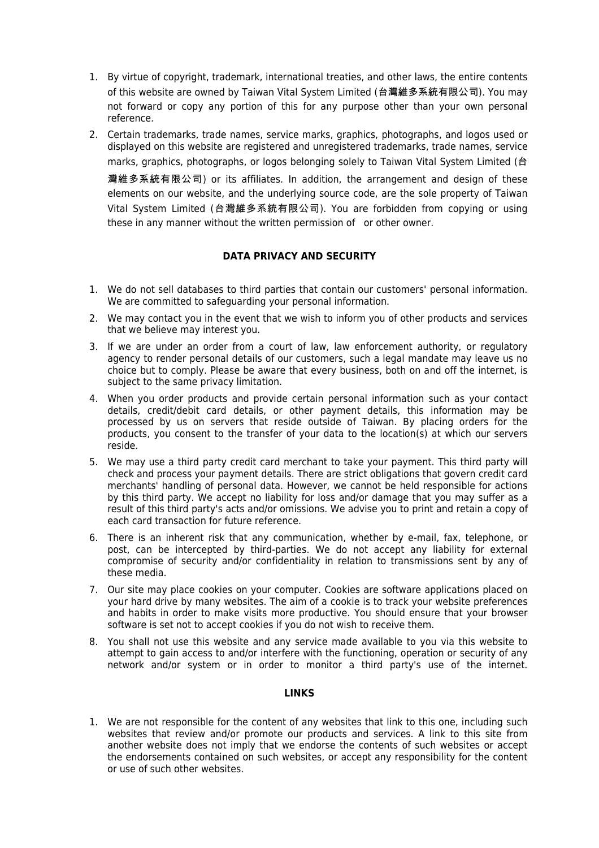- 1. By virtue of copyright, trademark, international treaties, and other laws, the entire contents of this website are owned by Taiwan Vital System Limited (台灣維多系統有限公司). You may not forward or copy any portion of this for any purpose other than your own personal reference.
- 2. Certain trademarks, trade names, service marks, graphics, photographs, and logos used or displayed on this website are registered and unregistered trademarks, trade names, service marks, graphics, photographs, or logos belonging solely to Taiwan Vital System Limited (台 灣維多系統有限公司) or its affiliates. In addition, the arrangement and design of these elements on our website, and the underlying source code, are the sole property of Taiwan Vital System Limited (台灣維多系統有限公司). You are forbidden from copying or using these in any manner without the written permission of or other owner.

# **DATA PRIVACY AND SECURITY**

- 1. We do not sell databases to third parties that contain our customers' personal information. We are committed to safeguarding your personal information.
- 2. We may contact you in the event that we wish to inform you of other products and services that we believe may interest you.
- 3. If we are under an order from a court of law, law enforcement authority, or regulatory agency to render personal details of our customers, such a legal mandate may leave us no choice but to comply. Please be aware that every business, both on and off the internet, is subject to the same privacy limitation.
- 4. When you order products and provide certain personal information such as your contact details, credit/debit card details, or other payment details, this information may be processed by us on servers that reside outside of Taiwan. By placing orders for the products, you consent to the transfer of your data to the location(s) at which our servers reside.
- 5. We may use a third party credit card merchant to take your payment. This third party will check and process your payment details. There are strict obligations that govern credit card merchants' handling of personal data. However, we cannot be held responsible for actions by this third party. We accept no liability for loss and/or damage that you may suffer as a result of this third party's acts and/or omissions. We advise you to print and retain a copy of each card transaction for future reference.
- 6. There is an inherent risk that any communication, whether by e-mail, fax, telephone, or post, can be intercepted by third-parties. We do not accept any liability for external compromise of security and/or confidentiality in relation to transmissions sent by any of these media.
- 7. Our site may place cookies on your computer. Cookies are software applications placed on your hard drive by many websites. The aim of a cookie is to track your website preferences and habits in order to make visits more productive. You should ensure that your browser software is set not to accept cookies if you do not wish to receive them.
- 8. You shall not use this website and any service made available to you via this website to attempt to gain access to and/or interfere with the functioning, operation or security of any network and/or system or in order to monitor a third party's use of the internet.

#### **LINKS**

1. We are not responsible for the content of any websites that link to this one, including such websites that review and/or promote our products and services. A link to this site from another website does not imply that we endorse the contents of such websites or accept the endorsements contained on such websites, or accept any responsibility for the content or use of such other websites.